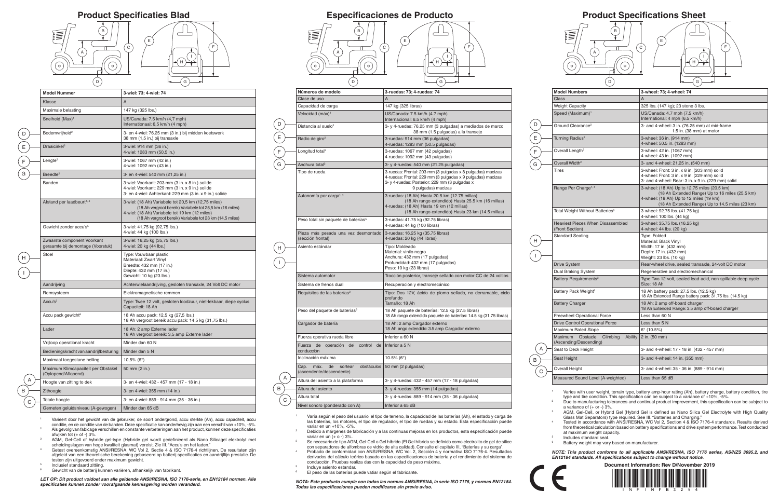<sup>1</sup> Varies with user weight, terrain type, battery amp-hour rating (Ah), battery charge, battery condition, tire type and tire condition. This specification can be subject to a variance of +10%, -5%.

AGM, Gel-Cell, or Hybrid Gel (Hybrid Gel is defined as Nano Silica Gel Electrolyte with High Quality Glass Mat Separators) type required. See III. "Batteries and Charging."

<sup>2</sup> Due to manufacturing tolerances and continual product improvement, this specification can be subject to a variance of (+ or -) 3%.

Tested in accordance with ANSI/RESNA, WC Vol 2, Section 4 & ISO 7176-4 standards. Results derived from theoretical calculation based on battery specifications and drive system performance. Test conducted at maximum weight capacity.

<sup>5</sup> Includes standard seat.

Battery weight may vary based on manufacturer.

*NOTE: This product conforms to all applicable ANSI/RESNA, ISO 7176 series, AS/NZS 3695.2, and EN12184 standards. All specifications subject to change without notice.*

**Document Information: Rev D/November 2019**



| <b>Model Numbers</b>                                                        | 3-wheel: 73; 4-wheel: 74                                                                                                                                                                      |
|-----------------------------------------------------------------------------|-----------------------------------------------------------------------------------------------------------------------------------------------------------------------------------------------|
| Class                                                                       | $\overline{A}$                                                                                                                                                                                |
| <b>Weight Capacity</b>                                                      | 325 lbs. (147 kg); 23 stone 3 lbs.                                                                                                                                                            |
| Speed (Maximum) <sup>1</sup>                                                | US/Canada: 4.7 mph (7.5 km/h)<br>International: 4 mph (6.5 km/h)                                                                                                                              |
| Ground Clearance <sup>2</sup>                                               | 3- and 4-wheel: 3 in. (76.25 mm) at mid-frame<br>1.5 in. $(38 \text{ mm})$ at motor                                                                                                           |
| Turning Radius <sup>2</sup>                                                 | 3-wheel: 36 in. (914 mm)<br>4-wheel: 50.5 in. (1283 mm)                                                                                                                                       |
| Overall Length <sup>2</sup>                                                 | 3-wheel: 42 in. (1067 mm)<br>4-wheel: 43 in. (1092 mm)                                                                                                                                        |
| Overall Width <sup>2</sup>                                                  | 3- and 4-wheel: 21.25 in. (540 mm)                                                                                                                                                            |
| <b>Tires</b>                                                                | 3-wheel: Front: 3 in. x 8 in. (203 mm) solid<br>4-wheel: Front: 3 in. x 9 in. (229 mm) solid<br>3- and 4-wheel: Rear: 3 in. x 9 in. (229 mm) solid                                            |
| Range Per Charge <sup>1, 4</sup>                                            | 3-wheel: (18 Ah) Up to 12.75 miles (20.5 km)<br>(18 Ah Extended Range) Up to 16 miles (25.5 km)<br>4-wheel: (18 Ah) Up to 12 miles (19 km)<br>(18 Ah Extended Range) Up to 14.5 miles (23 km) |
| Total Weight Without Batteries <sup>5</sup>                                 | 3-wheel: 92.75 lbs. (41.75 kg)<br>4-wheel: 100 lbs. (44 kg)                                                                                                                                   |
| <b>Heaviest Pieces When Disassembled</b><br>(Front Section)                 | 3-wheel: 35.75 lbs. (16.25 kg)<br>4-wheel: 44 lbs. (20 kg)                                                                                                                                    |
| <b>Standard Seating</b>                                                     | Type: Folded<br>Material: Black Vinyl<br>Width: 17 in. (432 mm)<br>Depth: 17 in. (432 mm)<br>Weight: 23 lbs. (10 kg)                                                                          |
| <b>Drive System</b>                                                         | Rear-wheel drive, sealed transaxle, 24-volt DC motor                                                                                                                                          |
| Dual Braking System                                                         | Regenerative and electromechanical                                                                                                                                                            |
| Battery Requirements <sup>3</sup>                                           | Type: Two 12-volt, sealed lead-acid, non-spillable deep-cycle<br>Size: 18 Ah                                                                                                                  |
| Battery Pack Weight <sup>6</sup>                                            | 18 Ah battery pack: 27.5 lbs. (12.5 kg)<br>18 Ah Extended Range battery pack: 31.75 lbs. (14.5 kg)                                                                                            |
| <b>Battery Charger</b>                                                      | 18 Ah: 2 amp off-board charger<br>18 Ah Extended Range: 3.5 amp off-board charger                                                                                                             |
| <b>Freewheel Operational Force</b>                                          | Less than 60 N                                                                                                                                                                                |
| <b>Drive Control Operational Force</b>                                      | Less than 5 N                                                                                                                                                                                 |
| <b>Maximum Rated Slope</b>                                                  | $6^{\circ}$ (10.5%)                                                                                                                                                                           |
| <b>Maximum</b><br>Obstacle<br>Ability<br>Climbing<br>(Ascending/Descending) | 2 in. (50 mm)                                                                                                                                                                                 |
| Seat to Deck Height                                                         | 3- and 4-wheel: 17 - 18 in. (432 - 457 mm)                                                                                                                                                    |
| Seat Height                                                                 | 3- and 4-wheel: 14 in. (355 mm)                                                                                                                                                               |
| Overall Height                                                              | 3- and 4-wheel: 35 - 36 in. (889 - 914 mm)                                                                                                                                                    |
| Measured Sound Level (A-weighted)                                           | $l$ ess than 65 dB                                                                                                                                                                            |

A B

C

## $(B)$ B (E) E (  $\textsf{c}$  ) F C  $\overline{1}$ A A I I H  $\odot$  $(\circ)$  $($  D  $)$ G

<sup>1</sup> Varieert door het gewicht van de gebruiker, de soort ondergrond, accu sterkte (Ah), accu capaciteit, accu conditie, en de conditie van de banden. Deze specificatie kan onderhevig zijn aan een verschil van +10%, -5%. <sup>2</sup> Als gevolg van fabicage verschillen en constante verbeteringen aan het product, kunnen deze specificaties afwjken tot  $(+$  of  $-$ ) 3%.

- <sup>1</sup> Varía según el peso del usuario, el tipo de terreno, la capacidad de las baterías (Ah), el estado y carga de las baterías, los motores, el tipo de regulador, el tipo de ruedas y su estado. Esta especificación puede variar en un +10%, -5%.
- <sup>2</sup> Debido a márgenes de fabricación y a las continuas mejoras en los productos, esta especificación puede variar en un  $(+ 0 - 3\%$ .
- <sup>3</sup> Se necesario de tipo AGM, Gel-Cell o Gel híbrido (El Gel híbrido se definido como electrolito de gel de sílice con separadores de alfombras de vidrio de alta calidad). Consulte el capitulo III, "Baterías y su carga".
- <sup>4</sup> Probado de conformidad con ANSI/RESNA, WC Vol. 2, Sección 4 y normativa ISO 7176-4. Resultados derivados del cálculo teórico basado en las especificaciones de batería y el rendimiento del sistema de conducción. Pruebas realiza das con la capacidad de peso máxima.
- <sup>5</sup> Incluye asiento estandar.

 $(B)$ 



<sup>6</sup> El peso de las baterías puede vatiar según el fabricante.

*NOTA: Este producto cumple con todas las normas ANSI/RESNA, la serie ISO 7176, y normas EN12184. Todas las especificaciones pueden modificarse sin previo aviso.*

| Números de modelo                                                       | 3-ruedas: 73; 4-ruedas: 74                                                                                                                                                                            |
|-------------------------------------------------------------------------|-------------------------------------------------------------------------------------------------------------------------------------------------------------------------------------------------------|
| Clase de uso                                                            | A                                                                                                                                                                                                     |
| Capacidad de carga                                                      | 147 kg (325 libras)                                                                                                                                                                                   |
| Velocidad (máx) <sup>1</sup>                                            | US/Canada: 7.5 km/h (4.7 mph)<br>Internacional: 6.5 km/h (4 mph)                                                                                                                                      |
| Distancia al suelo <sup>2</sup>                                         | 3- y 4-ruedas: 76.25 mm (3 pulgadas) a mediados de marco<br>38 mm (1.5 pulgadas) a la transeje                                                                                                        |
| Radio de giro <sup>2</sup>                                              | 3-ruedas: 914 mm (36 pulgadas)<br>4-ruedas: 1283 mm (50.5 pulgadas)                                                                                                                                   |
| Longitud total <sup>2</sup>                                             | 3-ruedas: 1067 mm (42 pulgadas)<br>4-ruedas: 1092 mm (43 pulgadas)                                                                                                                                    |
| Anchura total <sup>2</sup>                                              | 3- y 4-ruedas: 540 mm (21.25 pulgadas)                                                                                                                                                                |
| Tipo de rueda                                                           | 3-ruedas: Frontal: 203 mm (3 pulgadas x 8 pulgadas) macizas<br>4-ruedas: Frontal: 229 mm (3 pulgadas x 9 pulgadas) macizas<br>3- y 4-ruedas: Posterior: 229 mm (3 pulgadas x<br>9 pulgadas) macizas   |
| Autonomía por carga <sup>1,4</sup>                                      | 3-ruedas: (18 Ah) Hasta 20.5 km (12.75 millas)<br>(18 Ah rango extendido) Hasta 25.5 km (16 millas)<br>4-ruedas: (18 Ah) Hasta 19 km (12 millas)<br>(18 Ah rango extendido) Hasta 23 km (14.5 millas) |
| Peso total sin paquete de baterías <sup>5</sup>                         | 3-ruedas: 41.75 kg (92.75 libras)<br>4-ruedas: 44 kg (100 libras)                                                                                                                                     |
| Pieza más pesada una vez desmontado<br>(sección frontal)                | 3-ruedas: 16.25 kg (35.75 libras)<br>4-ruedas: 20 kg (44 libras)                                                                                                                                      |
| Asiento estándar                                                        | Tipo: Moldeado<br>Material: vinilo negro<br>Anchura: 432 mm (17 pulgadas)<br>Profundidad: 432 mm (17 pulgadas)<br>Peso: 10 kg (23 libras)                                                             |
| Sistema automotor                                                       | Tracción posterior, transeje sellado con motor CC de 24 voltios                                                                                                                                       |
| Sistema de frenos dual                                                  | Recuperación y electromecánico                                                                                                                                                                        |
| Requisitos de las baterías <sup>3</sup>                                 | Tipo: Dos 12V, ácido de plomo sellado, no derramable, ciclo<br>profundo<br>Tamaño: 18 Ah                                                                                                              |
| Peso del paquete de baterías <sup>6</sup>                               | 18 Ah paquete de baterías: 12.5 kg (27.5 libras)<br>18 Ah rango extendido paquete de baterías: 14.5 kg (31.75 libras)                                                                                 |
| Cargador de batería                                                     | 18 Ah: 2 amp Cargador externo<br>18 Ah ango extendido: 3.5 amp Cargador externo                                                                                                                       |
| Fuerza operativa rueda libre                                            | Inferior a 60 N                                                                                                                                                                                       |
| Fuerza de operación del<br>control<br>de<br>conducción                  | Inferior a 5 N                                                                                                                                                                                        |
| Inclinación máxima                                                      | 10.5% ( $6^{\circ}$ )                                                                                                                                                                                 |
| máx.<br>obstáculos<br>Cap.<br>de<br>sortear<br>(ascendente/descendente) | 50 mm (2 pulgadas)                                                                                                                                                                                    |
| Altura del asiento a la plataforma                                      | 3- y 4-ruedas: 432 - 457 mm (17 - 18 pulgadas)                                                                                                                                                        |
| Altura del asiento                                                      | $3-y$ 4-ruedas: 355 mm (14 pulgadas)                                                                                                                                                                  |
| Altura total                                                            | 3- y 4-ruedas: 889 - 914 mm (35 - 36 pulgadas)                                                                                                                                                        |
| Nivel sonoro (ponderado con A)                                          | Inferior a 65 dB                                                                                                                                                                                      |

## **Product Specificaties Blad Especificaciones de Producto** B  $($  E  $_1$ ( c F  $\overline{\phantom{a}}$ A A I H ( ၀ )  $(\circ)$  $($  D $)$ G

D

E

F G

H

I



- <sup>3</sup> AGM, Gel-Cell of hybride gel-type (Hybride gel wordt gedefinieerd als Nano Silicagel elektrolyt met scheidingslagen van hoge kwaliteit glasmat) vereist. Zie III. "Accu's en het laden."
- <sup>4</sup> Getest overeenkomstig ANSI/RESNA, WC Vol 2, Sectie 4 & ISO 7176-4 richtlijnen. De resultaten zijn afgeleid van een theoretische berekening gebaseerd op batterij specificaties en aandrijflijn prestatie. De testen zijn uitgevoerd onder maximum gewicht.
- <sup>5</sup> Inclusief standaard zittiing.

 $\begin{pmatrix} 1 \\ 2 \end{pmatrix}$ 

<sup>6</sup> Gewicht van de batterij kunnen variëren, afhankelijk van fabrikant.

*LET OP: Dit product voldoet aan alle geldende ANSI/RESNA, ISO 7176-serie, en EN12184 normen. Alle specificaties kunnen zonder voorafgaande kennisgeving worden veranderd.*

| <b>Model Nummer</b>                                              |                                                                                                                                                                                                                               |
|------------------------------------------------------------------|-------------------------------------------------------------------------------------------------------------------------------------------------------------------------------------------------------------------------------|
|                                                                  | 3-wiel: 73; 4-wiel: 74                                                                                                                                                                                                        |
| Klasse                                                           | A                                                                                                                                                                                                                             |
| Maximale belasting                                               | 147 kg (325 lbs.)                                                                                                                                                                                                             |
| Snelheid (Max) <sup>1</sup>                                      | US/Canada: 7,5 km/h (4,7 mph)<br>Internationaal: 6,5 km/h (4 mph)                                                                                                                                                             |
| Bodemvrijheid <sup>2</sup>                                       | 3- en 4-wiel: 76.25 mm (3 in.) bij midden koetswerk<br>38 mm (1,5 in.) bij transaxle                                                                                                                                          |
| Draaicirkel <sup>2</sup>                                         | 3-wiel: 914 mm (36 in.)<br>4-wiel: 1283 mm (50,5 in.)                                                                                                                                                                         |
| Lengte <sup>2</sup>                                              | 3-wiel: 1067 mm (42 in.)<br>4-wiel: 1092 mm (43 in.)                                                                                                                                                                          |
| Breedte <sup>2</sup>                                             | 3- en 4-wiel: 540 mm (21,25 in.)                                                                                                                                                                                              |
| Banden                                                           | 3-wiel: Voorkant: 203 mm (3 in. x 8 in.) solide<br>4-wiel: Voorkant: 229 mm (3 in. x 9 in.) solide<br>3- en 4-wiel: Achterkant: 229 mm (3 in. x 9 in.) solide                                                                 |
| Afstand per laadbeurt <sup>1, 4</sup>                            | 3-wiel: (18 Ah) Variabele tot 20,5 km (12,75 miles)<br>(18 Ah vergroot bereik) Variabele tot 25,5 km (16 miles)<br>4-wiel: (18 Ah) Variabele tot 19 km (12 miles)<br>(18 Ah vergroot bereik) Variabele tot 23 km (14,5 miles) |
| Gewicht zonder accu's <sup>5</sup>                               | 3-wiel: 41,75 kg (92,75 lbs.)<br>4-wiel: 44 kg (100 lbs.)                                                                                                                                                                     |
| Zwaarste component Voorkant<br>geraamte bij demontage (Voorstuk) | 3-wiel: 16,25 kg (35,75 lbs.)<br>4-wiel: 20 kg (44 lbs.)                                                                                                                                                                      |
| Stoel                                                            | Type: Vouwbaar plastic<br>Materiaal: Zwart Vinyl<br>Breedte: 432 mm (17 in.)<br>Diepte: 432 mm (17 in.)<br>Gewicht: 10 kg (23 lbs.)                                                                                           |
| Aandrijving                                                      | Achterwielaandrijving, gesloten transaxle, 24 Volt DC motor                                                                                                                                                                   |
| Remsysteem                                                       | Elektromagnetische remmen                                                                                                                                                                                                     |
| Accu's $3$                                                       | Type: Twee 12 volt, gesloten loodzuur, niet-lekbaar, diepe cyclus<br>Capaciteit: 18 Ah                                                                                                                                        |
| Accu pack gewicht <sup>6</sup>                                   | 18 Ah accu pack: 12,5 kg (27,5 lbs.)<br>18 Ah vergroot bereik accu pack: 14,5 kg (31,75 lbs.)                                                                                                                                 |
| Lader                                                            | 18 Ah: 2 amp Externe lader<br>18 Ah vergroot bereik: 3,5 amp Externe lader                                                                                                                                                    |
| Vrijloop operational kracht                                      | Minder dan 60 N                                                                                                                                                                                                               |
| Bedieningskracht van aandrijfbesturing                           | Minder dan 5 N                                                                                                                                                                                                                |
| Maximaal toegestane helling                                      | 10,5% $(6^{\circ})$                                                                                                                                                                                                           |
| Maximum Klimcapaciteit per Obstakel<br>(Oplopend/Aflopend)       | 50 mm (2 in.)                                                                                                                                                                                                                 |
| Hoogte van zitting to dek                                        | 3- en 4-wiel: 432 - 457 mm (17 - 18 in.)                                                                                                                                                                                      |
| Zithoogte                                                        | 3- en 4-wiel: 355 mm (14 in.)                                                                                                                                                                                                 |
| Totale hoogte                                                    | 3- en 4-wiel: 889 - 914 mm (35 - 36 in.)                                                                                                                                                                                      |
| Gemeten geluidsniveau (A-gewogen)                                | Minder dan 65 dB                                                                                                                                                                                                              |

D

E

F G

H

I